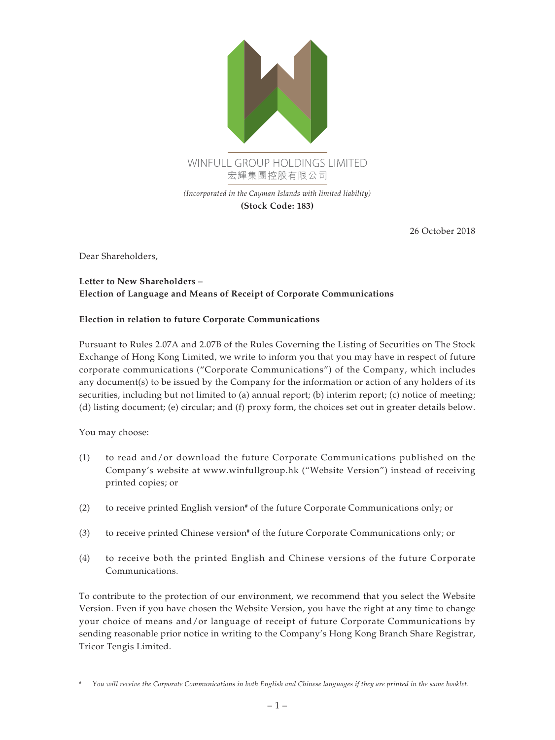

**(Stock Code: 183)**

26 October 2018

Dear Shareholders,

## **Letter to New Shareholders – Election of Language and Means of Receipt of Corporate Communications**

## **Election in relation to future Corporate Communications**

Pursuant to Rules 2.07A and 2.07B of the Rules Governing the Listing of Securities on The Stock Exchange of Hong Kong Limited, we write to inform you that you may have in respect of future corporate communications ("Corporate Communications") of the Company, which includes any document(s) to be issued by the Company for the information or action of any holders of its securities, including but not limited to (a) annual report; (b) interim report; (c) notice of meeting; (d) listing document; (e) circular; and (f) proxy form, the choices set out in greater details below.

You may choose:

- (1) to read and/or download the future Corporate Communications published on the Company's website at www.winfullgroup.hk ("Website Version") instead of receiving printed copies; or
- (2) to receive printed English version# of the future Corporate Communications only; or
- (3) to receive printed Chinese version# of the future Corporate Communications only; or
- (4) to receive both the printed English and Chinese versions of the future Corporate Communications.

To contribute to the protection of our environment, we recommend that you select the Website Version. Even if you have chosen the Website Version, you have the right at any time to change your choice of means and/or language of receipt of future Corporate Communications by sending reasonable prior notice in writing to the Company's Hong Kong Branch Share Registrar, Tricor Tengis Limited.

*<sup>#</sup> You will receive the Corporate Communications in both English and Chinese languages if they are printed in the same booklet.*